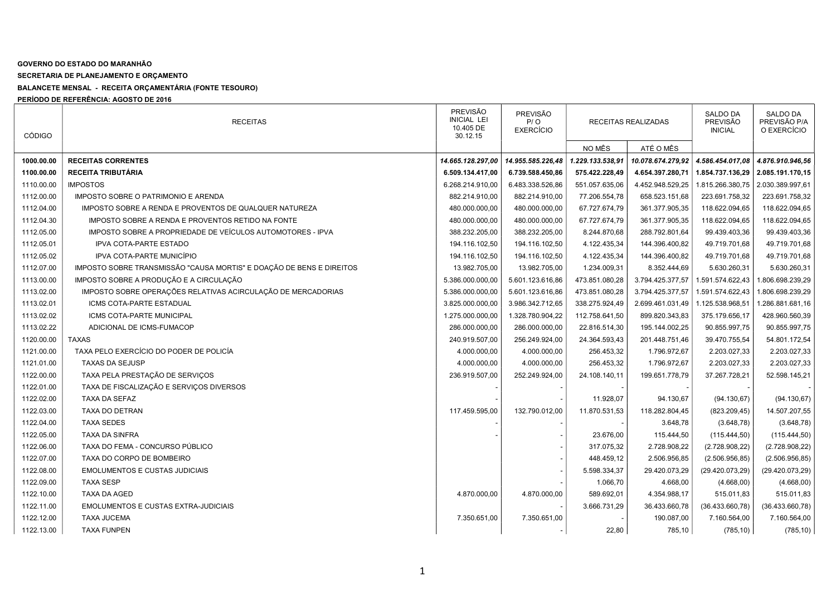## GOVERNO DO ESTADO DO MARANHÃO

SECRETARIA DE PLANEJAMENTO E ORÇAMENTO

BALANCETE MENSAL - RECEITA ORÇAMENTÁRIA (FONTE TESOURO)

PERÍODO DE REFERÊNCIA: AGOSTO DE 2016

| <b>CÓDIGO</b> | <b>RECEITAS</b>                                                      | <b>PREVISÃO</b><br><b>INICIAL LEI</b><br>10.405 DE<br>30.12.15 | <b>PREVISÃO</b><br>P / O<br><b>EXERCÍCIO</b> | RECEITAS REALIZADAS |                   | <b>SALDO DA</b><br><b>PREVISÃO</b><br><b>INICIAL</b> | <b>SALDO DA</b><br>PREVISÃO P/A<br>O EXERCÍCIO |
|---------------|----------------------------------------------------------------------|----------------------------------------------------------------|----------------------------------------------|---------------------|-------------------|------------------------------------------------------|------------------------------------------------|
|               |                                                                      |                                                                |                                              | NO MÊS              | ATÉ O MÊS         |                                                      |                                                |
| 1000.00.00    | <b>RECEITAS CORRENTES</b>                                            | 14.665.128.297,00                                              | 14.955.585.226,48                            | 1.229.133.538.91    | 10.078.674.279,92 | 4.586.454.017,08                                     | 4.876.910.946,56                               |
| 1100.00.00    | RECEITA TRIBUTÁRIA                                                   | 6.509.134.417,00                                               | 6.739.588.450,86                             | 575.422.228,49      | 4.654.397.280,71  | 1.854.737.136,29 2.085.191.170,15                    |                                                |
| 1110.00.00    | <b>IMPOSTOS</b>                                                      | 6.268.214.910,00                                               | 6.483.338.526,86                             | 551.057.635,06      | 4.452.948.529,25  | 1.815.266.380,75                                     | 2.030.389.997,61                               |
| 1112.00.00    | IMPOSTO SOBRE O PATRIMONIO E ARENDA                                  | 882.214.910,00                                                 | 882.214.910,00                               | 77.206.554,78       | 658.523.151,68    | 223.691.758,32                                       | 223.691.758,32                                 |
| 1112.04.00    | IMPOSTO SOBRE A RENDA E PROVENTOS DE QUALQUER NATUREZA               | 480.000.000,00                                                 | 480.000.000,00                               | 67.727.674,79       | 361.377.905,35    | 118.622.094,65                                       | 118.622.094,65                                 |
| 1112.04.30    | IMPOSTO SOBRE A RENDA E PROVENTOS RETIDO NA FONTE                    | 480.000.000,00                                                 | 480.000.000,00                               | 67.727.674,79       | 361.377.905,35    | 118.622.094,65                                       | 118.622.094,65                                 |
| 1112.05.00    | IMPOSTO SOBRE A PROPRIEDADE DE VEÍCULOS AUTOMOTORES - IPVA           | 388.232.205,00                                                 | 388.232.205,00                               | 8.244.870,68        | 288.792.801,64    | 99.439.403,36                                        | 99.439.403,36                                  |
| 1112.05.01    | IPVA COTA-PARTE ESTADO                                               | 194.116.102,50                                                 | 194.116.102,50                               | 4.122.435,34        | 144.396.400,82    | 49.719.701,68                                        | 49.719.701,68                                  |
| 1112.05.02    | IPVA COTA-PARTE MUNICÍPIO                                            | 194.116.102,50                                                 | 194.116.102,50                               | 4.122.435,34        | 144.396.400,82    | 49.719.701,68                                        | 49.719.701,68                                  |
| 1112.07.00    | IMPOSTO SOBRE TRANSMISSÃO "CAUSA MORTIS" E DOAÇÃO DE BENS E DIREITOS | 13.982.705,00                                                  | 13.982.705,00                                | 1.234.009,31        | 8.352.444,69      | 5.630.260,31                                         | 5.630.260,31                                   |
| 1113.00.00    | IMPOSTO SOBRE A PRODUÇÃO E A CIRCULAÇÃO                              | 5.386.000.000,00                                               | 5.601.123.616,86                             | 473.851.080,28      | 3.794.425.377,57  | 1.591.574.622,43                                     | 1.806.698.239,29                               |
| 1113.02.00    | IMPOSTO SOBRE OPERAÇÕES RELATIVAS ACIRCULAÇÃO DE MERCADORIAS         | 5.386.000.000,00                                               | 5.601.123.616,86                             | 473.851.080,28      | 3.794.425.377,57  | 1.591.574.622,43                                     | 1.806.698.239,29                               |
| 1113.02.01    | ICMS COTA-PARTE ESTADUAL                                             | 3.825.000.000,00                                               | 3.986.342.712,65                             | 338.275.924,49      | 2.699.461.031,49  | 1.125.538.968,51                                     | 1.286.881.681,16                               |
| 1113.02.02    | ICMS COTA-PARTE MUNICIPAL                                            | 1.275.000.000,00                                               | 1.328.780.904,22                             | 112.758.641,50      | 899.820.343,83    | 375.179.656,17                                       | 428.960.560,39                                 |
| 1113.02.22    | ADICIONAL DE ICMS-FUMACOP                                            | 286.000.000,00                                                 | 286.000.000,00                               | 22.816.514,30       | 195.144.002,25    | 90.855.997,75                                        | 90.855.997,75                                  |
| 1120.00.00    | <b>TAXAS</b>                                                         | 240.919.507,00                                                 | 256.249.924,00                               | 24.364.593,43       | 201.448.751,46    | 39.470.755,54                                        | 54.801.172,54                                  |
| 1121.00.00    | TAXA PELO EXERCÍCIO DO PODER DE POLICÍA                              | 4.000.000,00                                                   | 4.000.000,00                                 | 256.453,32          | 1.796.972,67      | 2.203.027,33                                         | 2.203.027,33                                   |
| 1121.01.00    | <b>TAXAS DA SEJUSP</b>                                               | 4.000.000,00                                                   | 4.000.000,00                                 | 256.453,32          | 1.796.972,67      | 2.203.027,33                                         | 2.203.027,33                                   |
| 1122.00.00    | TAXA PELA PRESTAÇÃO DE SERVIÇOS                                      | 236.919.507,00                                                 | 252.249.924,00                               | 24.108.140,11       | 199.651.778,79    | 37.267.728,21                                        | 52.598.145,21                                  |
| 1122.01.00    | TAXA DE FISCALIZAÇÃO E SERVIÇOS DIVERSOS                             |                                                                |                                              |                     |                   |                                                      |                                                |
| 1122.02.00    | TAXA DA SEFAZ                                                        |                                                                |                                              | 11.928,07           | 94.130,67         | (94.130, 67)                                         | (94.130, 67)                                   |
| 1122.03.00    | TAXA DO DETRAN                                                       | 117.459.595,00                                                 | 132.790.012,00                               | 11.870.531,53       | 118.282.804,45    | (823.209, 45)                                        | 14.507.207,55                                  |
| 1122.04.00    | <b>TAXA SEDES</b>                                                    |                                                                |                                              |                     | 3.648,78          | (3.648, 78)                                          | (3.648, 78)                                    |
| 1122.05.00    | <b>TAXA DA SINFRA</b>                                                |                                                                |                                              | 23.676,00           | 115.444,50        | (115.444, 50)                                        | (115.444, 50)                                  |
| 1122.06.00    | TAXA DO FEMA - CONCURSO PÚBLICO                                      |                                                                |                                              | 317.075,32          | 2.728.908,22      | (2.728.908, 22)                                      | (2.728.908, 22)                                |
| 1122.07.00    | TAXA DO CORPO DE BOMBEIRO                                            |                                                                |                                              | 448.459,12          | 2.506.956,85      | (2.506.956, 85)                                      | (2.506.956, 85)                                |
| 1122.08.00    | <b>EMOLUMENTOS E CUSTAS JUDICIAIS</b>                                |                                                                |                                              | 5.598.334,37        | 29.420.073,29     | (29.420.073,29)                                      | (29.420.073,29)                                |
| 1122.09.00    | <b>TAXA SESP</b>                                                     |                                                                |                                              | 1.066,70            | 4.668,00          | (4.668,00)                                           | (4.668,00)                                     |
| 1122.10.00    | TAXA DA AGED                                                         | 4.870.000,00                                                   | 4.870.000,00                                 | 589.692,01          | 4.354.988,17      | 515.011,83                                           | 515.011,83                                     |
| 1122.11.00    | <b>EMOLUMENTOS E CUSTAS EXTRA-JUDICIAIS</b>                          |                                                                |                                              | 3.666.731,29        | 36.433.660,78     | (36.433.660,78)                                      | (36.433.660,78)                                |
| 1122.12.00    | TAXA JUCEMA                                                          | 7.350.651,00                                                   | 7.350.651,00                                 |                     | 190.087,00        | 7.160.564,00                                         | 7.160.564,00                                   |
| 1122.13.00    | <b>TAXA FUNPEN</b>                                                   |                                                                |                                              | 22,80               | 785,10            | (785, 10)                                            | (785, 10)                                      |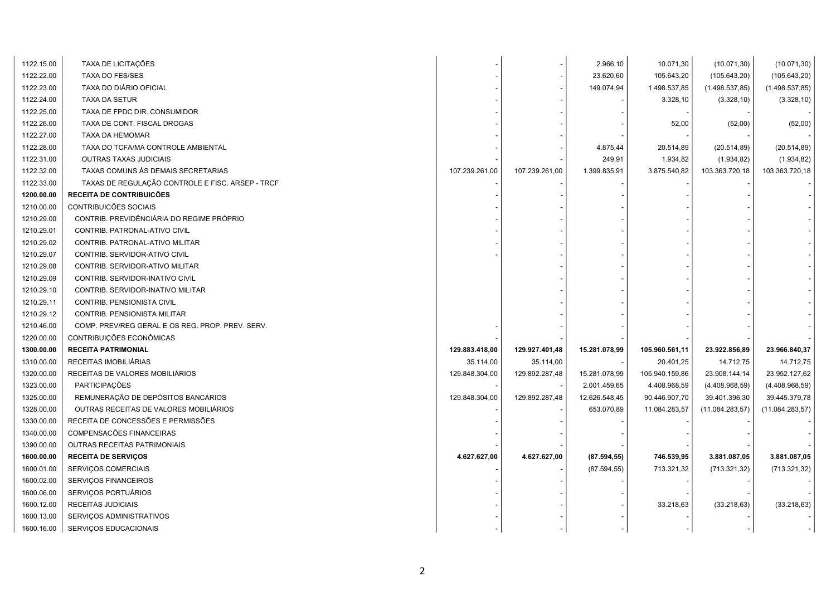| 1122.15.00 | TAXA DE LICITAÇÕES                               |                |                | 2.966,10      | 10.071,30      | (10.071, 30)     | (10.071, 30)    |
|------------|--------------------------------------------------|----------------|----------------|---------------|----------------|------------------|-----------------|
| 1122.22.00 | <b>TAXA DO FES/SES</b>                           |                |                | 23.620,60     | 105.643,20     | (105.643,20)     | (105.643,20)    |
| 1122.23.00 | TAXA DO DIÁRIO OFICIAL                           |                |                | 149.074,94    | 1.498.537,85   | (1.498.537, 85)  | (1.498.537, 85) |
| 1122.24.00 | <b>TAXA DA SETUR</b>                             |                |                |               | 3.328,10       | (3.328, 10)      | (3.328, 10)     |
| 1122.25.00 | TAXA DE FPDC DIR. CONSUMIDOR                     |                |                |               |                |                  |                 |
| 1122.26.00 | TAXA DE CONT. FISCAL DROGAS                      |                |                |               | 52,00          | (52,00)          | (52,00)         |
| 1122.27.00 | TAXA DA HEMOMAR                                  |                |                |               |                |                  |                 |
| 1122.28.00 | TAXA DO TCFA/MA CONTROLE AMBIENTAL               |                |                | 4.875,44      | 20.514,89      | (20.514, 89)     | (20.514, 89)    |
| 1122.31.00 | OUTRAS TAXAS JUDICIAIS                           |                |                | 249,91        | 1.934,82       | (1.934, 82)      | (1.934, 82)     |
| 1122.32.00 | TAXAS COMUNS ÀS DEMAIS SECRETARIAS               | 107.239.261,00 | 107.239.261,00 | 1.399.835,91  | 3.875.540,82   | 103.363.720,18   | 103.363.720,18  |
| 1122.33.00 | TAXAS DE REGULAÇÃO CONTROLE E FISC. ARSEP - TRCF |                |                |               |                |                  |                 |
| 1200.00.00 | RECEITA DE CONTRIBUICÕES                         |                |                |               |                |                  |                 |
| 1210.00.00 | CONTRIBUICÕES SOCIAIS                            |                |                |               |                |                  |                 |
| 1210.29.00 | CONTRIB. PREVIDÊNCIÁRIA DO REGIME PRÓPRIO        |                |                |               |                |                  |                 |
| 1210.29.01 | CONTRIB. PATRONAL-ATIVO CIVIL                    |                |                |               |                |                  |                 |
| 1210.29.02 | CONTRIB. PATRONAL-ATIVO MILITAR                  |                |                |               |                |                  |                 |
| 1210.29.07 | CONTRIB. SERVIDOR-ATIVO CIVIL                    |                |                |               |                |                  |                 |
| 1210.29.08 | CONTRIB. SERVIDOR-ATIVO MILITAR                  |                |                |               |                |                  |                 |
| 1210.29.09 | CONTRIB. SERVIDOR-INATIVO CIVIL                  |                |                |               |                |                  |                 |
| 1210.29.10 | CONTRIB. SERVIDOR-INATIVO MILITAR                |                |                |               |                |                  |                 |
| 1210.29.11 | CONTRIB. PENSIONISTA CIVIL                       |                |                |               |                |                  |                 |
| 1210.29.12 | CONTRIB. PENSIONISTA MILITAR                     |                |                |               |                |                  |                 |
| 1210.46.00 | COMP. PREV/REG GERAL E OS REG. PROP. PREV. SERV. |                |                |               |                |                  |                 |
| 1220.00.00 | CONTRIBUIÇÕES ECONÔMICAS                         |                |                |               |                |                  |                 |
| 1300.00.00 | <b>RECEITA PATRIMONIAL</b>                       | 129.883.418,00 | 129.927.401,48 | 15.281.078,99 | 105.960.561,11 | 23.922.856,89    | 23.966.840,37   |
| 1310.00.00 | RECEITAS IMOBILIÁRIAS                            | 35.114,00      | 35.114,00      |               | 20.401,25      | 14.712,75        | 14.712,75       |
| 1320.00.00 | RECEITAS DE VALORES MOBILIÁRIOS                  | 129.848.304,00 | 129.892.287,48 | 15.281.078,99 | 105.940.159,86 | 23.908.144,14    | 23.952.127,62   |
| 1323.00.00 | PARTICIPAÇÕES                                    |                |                | 2.001.459,65  | 4.408.968,59   | (4.408.968,59)   | (4.408.968,59)  |
| 1325.00.00 | REMUNERAÇÃO DE DEPÓSITOS BANCÁRIOS               | 129.848.304,00 | 129.892.287,48 | 12.626.548,45 | 90.446.907,70  | 39.401.396,30    | 39.445.379,78   |
| 1328.00.00 | OUTRAS RECEITAS DE VALORES MOBILIÁRIOS           |                |                | 653.070,89    | 11.084.283,57  | (11.084.283, 57) | (11.084.283,57) |
| 1330.00.00 | RECEITA DE CONCESSÕES E PERMISSÕES               |                |                |               |                |                  |                 |
| 1340.00.00 | COMPENSACÕES FINANCEIRAS                         |                |                |               |                |                  |                 |
| 1390.00.00 | OUTRAS RECEITAS PATRIMONIAIS                     |                |                |               |                |                  |                 |
| 1600.00.00 | <b>RECEITA DE SERVIÇOS</b>                       | 4.627.627,00   | 4.627.627,00   | (87.594, 55)  | 746.539,95     | 3.881.087,05     | 3.881.087,05    |
| 1600.01.00 | SERVIÇOS COMERCIAIS                              |                |                | (87.594, 55)  | 713.321,32     | (713.321, 32)    | (713.321, 32)   |
| 1600.02.00 | SERVIÇOS FINANCEIROS                             |                |                |               |                |                  |                 |
| 1600.06.00 | SERVIÇOS PORTUÁRIOS                              |                |                |               |                |                  |                 |
| 1600.12.00 | RECEITAS JUDICIAIS                               |                |                |               | 33.218,63      | (33.218, 63)     | (33.218, 63)    |
| 1600.13.00 | SERVIÇOS ADMINISTRATIVOS                         |                |                |               |                |                  |                 |
| 1600.16.00 | SERVIÇOS EDUCACIONAIS                            |                |                |               |                |                  |                 |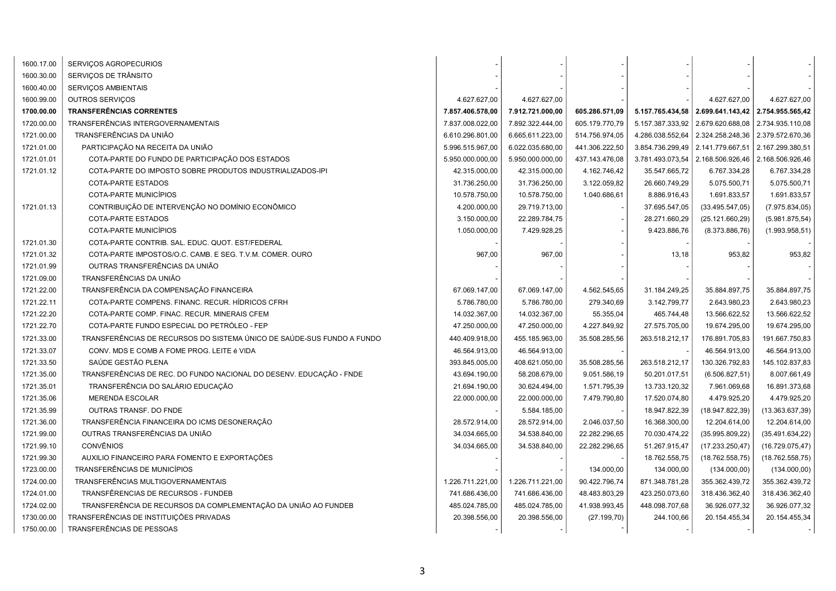| 1600.17.00 | SERVIÇOS AGROPECURIOS                                                  |                  |                  |                |                  |                  |                  |
|------------|------------------------------------------------------------------------|------------------|------------------|----------------|------------------|------------------|------------------|
| 1600.30.00 | SERVIÇOS DE TRÂNSITO                                                   |                  |                  |                |                  |                  |                  |
| 1600.40.00 | SERVIÇOS AMBIENTAIS                                                    |                  |                  |                |                  |                  |                  |
| 1600.99.00 | OUTROS SERVIÇOS                                                        | 4.627.627,00     | 4.627.627,00     |                |                  | 4.627.627,00     | 4.627.627,00     |
| 1700.00.00 | <b>TRANSFERÊNCIAS CORRENTES</b>                                        | 7.857.406.578,00 | 7.912.721.000,00 | 605.286.571,09 | 5.157.765.434,58 | 2.699.641.143,42 | 2.754.955.565,42 |
| 1720.00.00 | TRANSFERÊNCIAS INTERGOVERNAMENTAIS                                     | 7.837.008.022,00 | 7.892.322.444,00 | 605.179.770,79 | 5.157.387.333,92 | 2.679.620.688,08 | 2.734.935.110,08 |
| 1721.00.00 | TRANSFERÊNCIAS DA UNIÃO                                                | 6.610.296.801,00 | 6.665.611.223,00 | 514.756.974,05 | 4.286.038.552,64 | 2.324.258.248,36 | 2.379.572.670,36 |
| 1721.01.00 | PARTICIPAÇÃO NA RECEITA DA UNIÃO                                       | 5.996.515.967,00 | 6.022.035.680,00 | 441.306.222,50 | 3.854.736.299,49 | 2.141.779.667,51 | 2.167.299.380,51 |
| 1721.01.01 | COTA-PARTE DO FUNDO DE PARTICIPAÇÃO DOS ESTADOS                        | 5.950.000.000,00 | 5.950.000.000,00 | 437.143.476,08 | 3.781.493.073,54 | 2.168.506.926,46 | 2.168.506.926,46 |
| 1721.01.12 | COTA-PARTE DO IMPOSTO SOBRE PRODUTOS INDUSTRIALIZADOS-IPI              | 42.315.000,00    | 42.315.000,00    | 4.162.746,42   | 35.547.665,72    | 6.767.334,28     | 6.767.334,28     |
|            | COTA-PARTE ESTADOS                                                     | 31.736.250,00    | 31.736.250,00    | 3.122.059,82   | 26.660.749,29    | 5.075.500,71     | 5.075.500,71     |
|            | COTA-PARTE MUNICÍPIOS                                                  | 10.578.750,00    | 10.578.750,00    | 1.040.686,61   | 8.886.916,43     | 1.691.833,57     | 1.691.833,57     |
| 1721.01.13 | CONTRIBUIÇÃO DE INTERVENÇÃO NO DOMÍNIO ECONÔMICO                       | 4.200.000,00     | 29.719.713,00    |                | 37.695.547,05    | (33.495.547,05)  | (7.975.834,05)   |
|            | COTA-PARTE ESTADOS                                                     | 3.150.000,00     | 22.289.784,75    |                | 28.271.660,29    | (25.121.660, 29) | (5.981.875, 54)  |
|            | COTA-PARTE MUNICÍPIOS                                                  | 1.050.000,00     | 7.429.928,25     |                | 9.423.886,76     | (8.373.886, 76)  | (1.993.958, 51)  |
| 1721.01.30 | COTA-PARTE CONTRIB. SAL. EDUC. QUOT. EST/FEDERAL                       |                  |                  |                |                  |                  |                  |
| 1721.01.32 | COTA-PARTE IMPOSTOS/O.C. CAMB. E SEG. T.V.M. COMER. OURO               | 967,00           | 967,00           |                | 13,18            | 953,82           | 953,82           |
| 1721.01.99 | OUTRAS TRANSFERÊNCIAS DA UNIÃO                                         |                  |                  |                |                  |                  |                  |
| 1721.09.00 | TRANSFERÊNCIAS DA UNIÃO                                                |                  |                  |                |                  |                  |                  |
| 1721.22.00 | TRANSFERÊNCIA DA COMPENSAÇÃO FINANCEIRA                                | 67.069.147,00    | 67.069.147,00    | 4.562.545,65   | 31.184.249,25    | 35.884.897,75    | 35.884.897,75    |
| 1721.22.11 | COTA-PARTE COMPENS. FINANC. RECUR. HÍDRICOS CFRH                       | 5.786.780,00     | 5.786.780,00     | 279.340,69     | 3.142.799,77     | 2.643.980,23     | 2.643.980,23     |
| 1721.22.20 | COTA-PARTE COMP. FINAC. RECUR. MINERAIS CFEM                           | 14.032.367,00    | 14.032.367,00    | 55.355,04      | 465.744,48       | 13.566.622,52    | 13.566.622,52    |
| 1721.22.70 | COTA-PARTE FUNDO ESPECIAL DO PETRÓLEO - FEP                            | 47.250.000,00    | 47.250.000,00    | 4.227.849,92   | 27.575.705,00    | 19.674.295,00    | 19.674.295,00    |
| 1721.33.00 | TRANSFERÊNCIAS DE RECURSOS DO SISTEMA ÚNICO DE SAÚDE-SUS FUNDO A FUNDO | 440.409.918,00   | 455.185.963,00   | 35.508.285,56  | 263.518.212,17   | 176.891.705,83   | 191.667.750,83   |
| 1721.33.07 | CONV. MDS E COMB A FOME PROG. LEITE é VIDA                             | 46.564.913,00    | 46.564.913,00    |                |                  | 46.564.913,00    | 46.564.913,00    |
| 1721.33.50 | SAÚDE GESTÃO PLENA                                                     | 393.845.005,00   | 408.621.050,00   | 35.508.285,56  | 263.518.212,17   | 130.326.792,83   | 145.102.837,83   |
| 1721.35.00 | TRANSFERÊNCIAS DE REC. DO FUNDO NACIONAL DO DESENV. EDUCAÇÃO - FNDE    | 43.694.190,00    | 58.208.679,00    | 9.051.586,19   | 50.201.017,51    | (6.506.827, 51)  | 8.007.661,49     |
| 1721.35.01 | TRANSFERÊNCIA DO SALÁRIO EDUCAÇÃO                                      | 21.694.190,00    | 30.624.494,00    | 1.571.795,39   | 13.733.120,32    | 7.961.069,68     | 16.891.373,68    |
| 1721.35.06 | <b>MERENDA ESCOLAR</b>                                                 | 22.000.000,00    | 22.000.000,00    | 7.479.790,80   | 17.520.074,80    | 4.479.925,20     | 4.479.925,20     |
| 1721.35.99 | OUTRAS TRANSF. DO FNDE                                                 |                  | 5.584.185,00     |                | 18.947.822,39    | (18.947.822, 39) | (13.363.637,39)  |
| 1721.36.00 | TRANSFERÊNCIA FINANCEIRA DO ICMS DESONERAÇÃO                           | 28.572.914,00    | 28.572.914,00    | 2.046.037,50   | 16.368.300,00    | 12.204.614,00    | 12.204.614,00    |
| 1721.99.00 | OUTRAS TRANSFERÊNCIAS DA UNIÃO                                         | 34.034.665,00    | 34.538.840,00    | 22.282.296,65  | 70.030.474,22    | (35.995.809, 22) | (35.491.634,22)  |
| 1721.99.10 | <b>CONVÊNIOS</b>                                                       | 34.034.665,00    | 34.538.840,00    | 22.282.296,65  | 51.267.915,47    | (17.233.250, 47) | (16.729.075, 47) |
| 1721.99.30 | AUXILIO FINANCEIRO PARA FOMENTO E EXPORTAÇÕES                          |                  |                  |                | 18.762.558,75    | (18.762.558,75)  | (18.762.558,75)  |
| 1723.00.00 | <b>TRANSFERÊNCIAS DE MUNICÍPIOS</b>                                    |                  |                  | 134.000,00     | 134.000,00       | (134.000,00)     | (134.000,00)     |
| 1724.00.00 | TRANSFERÊNCIAS MULTIGOVERNAMENTAIS                                     | 1.226.711.221,00 | 1.226.711.221,00 | 90.422.796,74  | 871.348.781,28   | 355.362.439,72   | 355.362.439,72   |
| 1724.01.00 | TRANSFÊRENCIAS DE RECURSOS - FUNDEB                                    | 741.686.436,00   | 741.686.436,00   | 48.483.803,29  | 423.250.073,60   | 318.436.362,40   | 318.436.362,40   |
| 1724.02.00 | TRANSFERÊNCIA DE RECURSOS DA COMPLEMENTAÇÃO DA UNIÃO AO FUNDEB         | 485.024.785,00   | 485.024.785,00   | 41.938.993,45  | 448.098.707,68   | 36.926.077,32    | 36.926.077,32    |
| 1730.00.00 | TRANSFERÊNCIAS DE INSTITUIÇÕES PRIVADAS                                | 20.398.556,00    | 20.398.556,00    | (27.199, 70)   | 244.100,66       | 20.154.455,34    | 20.154.455,34    |
| 1750.00.00 | TRANSFERÊNCIAS DE PESSOAS                                              |                  |                  |                |                  |                  |                  |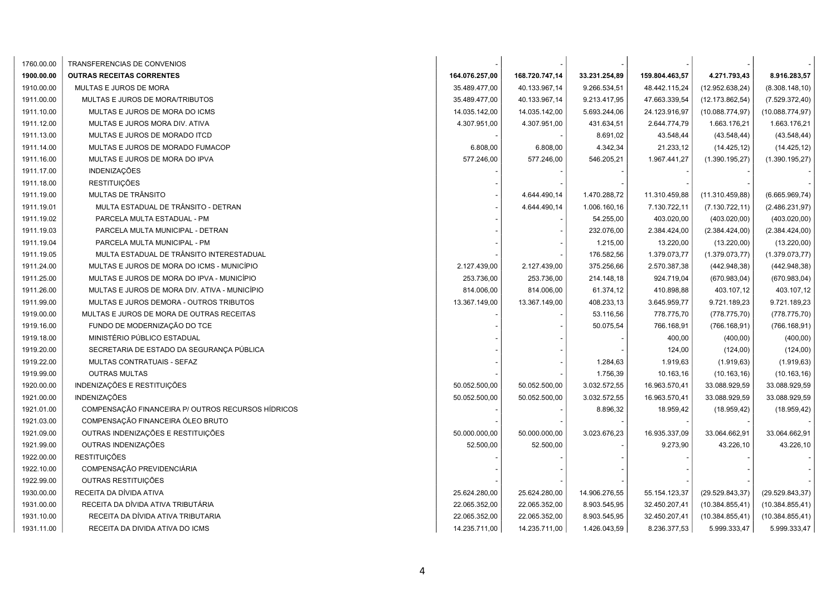| 1760.00.00 | TRANSFERENCIAS DE CONVENIOS                        |                |                |               |                |                  |                  |
|------------|----------------------------------------------------|----------------|----------------|---------------|----------------|------------------|------------------|
| 1900.00.00 | <b>OUTRAS RECEITAS CORRENTES</b>                   | 164.076.257,00 | 168.720.747,14 | 33.231.254,89 | 159.804.463,57 | 4.271.793,43     | 8.916.283,57     |
| 1910.00.00 | MULTAS E JUROS DE MORA                             | 35.489.477,00  | 40.133.967,14  | 9.266.534,51  | 48.442.115,24  | (12.952.638, 24) | (8.308.148, 10)  |
| 1911.00.00 | MULTAS E JUROS DE MORA/TRIBUTOS                    | 35.489.477,00  | 40.133.967,14  | 9.213.417,95  | 47.663.339,54  | (12.173.862, 54) | (7.529.372, 40)  |
| 1911.10.00 | MULTAS E JUROS DE MORA DO ICMS                     | 14.035.142,00  | 14.035.142,00  | 5.693.244,06  | 24.123.916,97  | (10.088.774, 97) | (10.088.774.97)  |
| 1911.12.00 | MULTAS E JUROS MORA DIV. ATIVA                     | 4.307.951,00   | 4.307.951,00   | 431.634,51    | 2.644.774,79   | 1.663.176,21     | 1.663.176,21     |
| 1911.13.00 | MULTAS E JUROS DE MORADO ITCD                      |                |                | 8.691,02      | 43.548,44      | (43.548, 44)     | (43.548, 44)     |
| 1911.14.00 | MULTAS E JUROS DE MORADO FUMACOP                   | 6.808,00       | 6.808,00       | 4.342,34      | 21.233,12      | (14.425, 12)     | (14.425, 12)     |
| 1911.16.00 | MULTAS E JUROS DE MORA DO IPVA                     | 577.246,00     | 577.246,00     | 546.205,21    | 1.967.441,27   | (1.390.195, 27)  | (1.390.195, 27)  |
| 1911.17.00 | <b>INDENIZAÇÕES</b>                                |                |                |               |                |                  |                  |
| 1911.18.00 | <b>RESTITUIÇÕES</b>                                |                |                |               |                |                  |                  |
| 1911.19.00 | MULTAS DE TRÂNSITO                                 |                | 4.644.490,14   | 1.470.288,72  | 11.310.459,88  | (11.310.459,88)  | (6.665.969,74)   |
| 1911.19.01 | MULTA ESTADUAL DE TRÂNSITO - DETRAN                |                | 4.644.490,14   | 1.006.160,16  | 7.130.722,11   | (7.130.722, 11)  | (2.486.231,97)   |
| 1911.19.02 | PARCELA MULTA ESTADUAL - PM                        |                |                | 54.255,00     | 403.020,00     | (403.020,00)     | (403.020,00)     |
| 1911.19.03 | PARCELA MULTA MUNICIPAL - DETRAN                   |                |                | 232.076,00    | 2.384.424,00   | (2.384.424,00)   | (2.384.424,00)   |
| 1911.19.04 | PARCELA MULTA MUNICIPAL - PM                       |                |                | 1.215,00      | 13.220,00      | (13.220,00)      | (13.220,00)      |
| 1911.19.05 | MULTA ESTADUAL DE TRÂNSITO INTERESTADUAL           |                |                | 176.582,56    | 1.379.073,77   | (1.379.073, 77)  | (1.379.073, 77)  |
| 1911.24.00 | MULTAS E JUROS DE MORA DO ICMS - MUNICÍPIO         | 2.127.439,00   | 2.127.439,00   | 375.256,66    | 2.570.387,38   | (442.948, 38)    | (442.948, 38)    |
| 1911.25.00 | MULTAS E JUROS DE MORA DO IPVA - MUNICÍPIO         | 253.736,00     | 253.736,00     | 214.148,18    | 924.719,04     | (670.983, 04)    | (670.983, 04)    |
| 1911.26.00 | MULTAS E JUROS DE MORA DIV. ATIVA - MUNICÍPIO      | 814.006,00     | 814.006,00     | 61.374,12     | 410.898,88     | 403.107,12       | 403.107,12       |
| 1911.99.00 | MULTAS E JUROS DEMORA - OUTROS TRIBUTOS            | 13.367.149,00  | 13.367.149,00  | 408.233,13    | 3.645.959,77   | 9.721.189,23     | 9.721.189,23     |
| 1919.00.00 | MULTAS E JUROS DE MORA DE OUTRAS RECEITAS          |                |                | 53.116,56     | 778.775,70     | (778.775, 70)    | (778.775, 70)    |
| 1919.16.00 | FUNDO DE MODERNIZAÇÃO DO TCE                       |                |                | 50.075,54     | 766.168,91     | (766.168, 91)    | (766.168, 91)    |
| 1919.18.00 | MINISTÉRIO PÚBLICO ESTADUAL                        |                |                |               | 400,00         | (400,00)         | (400,00)         |
| 1919.20.00 | SECRETARIA DE ESTADO DA SEGURANÇA PÚBLICA          |                |                |               | 124,00         | (124,00)         | (124,00)         |
| 1919.22.00 | MULTAS CONTRATUAIS - SEFAZ                         |                |                | 1.284,63      | 1.919,63       | (1.919, 63)      | (1.919, 63)      |
| 1919.99.00 | <b>OUTRAS MULTAS</b>                               |                |                | 1.756,39      | 10.163,16      | (10.163, 16)     | (10.163, 16)     |
| 1920.00.00 | INDENIZAÇÕES E RESTITUIÇÕES                        | 50.052.500,00  | 50.052.500,00  | 3.032.572,55  | 16.963.570,41  | 33.088.929,59    | 33.088.929,59    |
| 1921.00.00 | INDENIZAÇÕES                                       | 50.052.500,00  | 50.052.500,00  | 3.032.572,55  | 16.963.570,41  | 33.088.929,59    | 33.088.929,59    |
| 1921.01.00 | COMPENSAÇÃO FINANCEIRA P/ OUTROS RECURSOS HÍDRICOS |                |                | 8.896,32      | 18.959,42      | (18.959, 42)     | (18.959, 42)     |
| 1921.03.00 | COMPENSAÇÃO FINANCEIRA ÓLEO BRUTO                  |                |                |               |                |                  |                  |
| 1921.09.00 | OUTRAS INDENIZAÇÕES E RESTITUIÇÕES                 | 50.000.000,00  | 50.000.000,00  | 3.023.676,23  | 16.935.337,09  | 33.064.662,91    | 33.064.662,91    |
| 1921.99.00 | OUTRAS INDENIZAÇÕES                                | 52.500,00      | 52.500,00      |               | 9.273,90       | 43.226,10        | 43.226,10        |
| 1922.00.00 | <b>RESTITUIÇÕES</b>                                |                |                |               |                |                  |                  |
| 1922.10.00 | COMPENSAÇÃO PREVIDENCIÁRIA                         |                |                |               |                |                  |                  |
| 1922.99.00 | OUTRAS RESTITUIÇÕES                                |                |                |               |                |                  |                  |
| 1930.00.00 | RECEITA DA DÍVIDA ATIVA                            | 25.624.280,00  | 25.624.280,00  | 14.906.276,55 | 55.154.123,37  | (29.529.843, 37) | (29.529.843, 37) |
| 1931.00.00 | RECEITA DA DÍVIDA ATIVA TRIBUTÁRIA                 | 22.065.352,00  | 22.065.352,00  | 8.903.545,95  | 32.450.207,41  | (10.384.855, 41) | (10.384.855, 41) |
| 1931.10.00 | RECEITA DA DÍVIDA ATIVA TRIBUTARIA                 | 22.065.352,00  | 22.065.352,00  | 8.903.545,95  | 32.450.207,41  | (10.384.855, 41) | (10.384.855, 41) |
| 1931.11.00 | RECEITA DA DIVIDA ATIVA DO ICMS                    | 14.235.711,00  | 14.235.711,00  | 1.426.043,59  | 8.236.377,53   | 5.999.333,47     | 5.999.333,47     |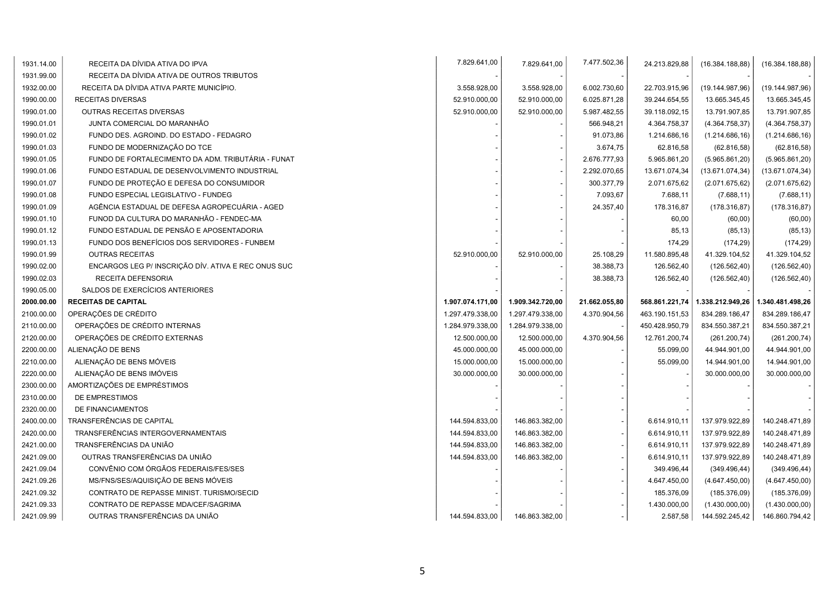| 1931.14.00 | RECEITA DA DÍVIDA ATIVA DO IPVA                     | 7.829.641,00     | 7.829.641,00     | 7.477.502,36  | 24.213.829,88  | (16.384.188, 88) | (16.384.188, 88) |
|------------|-----------------------------------------------------|------------------|------------------|---------------|----------------|------------------|------------------|
| 1931.99.00 | RECEITA DA DÍVIDA ATIVA DE OUTROS TRIBUTOS          |                  |                  |               |                |                  |                  |
| 1932.00.00 | RECEITA DA DÍVIDA ATIVA PARTE MUNICÍPIO.            | 3.558.928,00     | 3.558.928,00     | 6.002.730,60  | 22.703.915,96  | (19.144.987,96)  | (19.144.987,96)  |
| 1990.00.00 | RECEITAS DIVERSAS                                   | 52.910.000,00    | 52.910.000,00    | 6.025.871,28  | 39.244.654,55  | 13.665.345,45    | 13.665.345,45    |
| 1990.01.00 | OUTRAS RECEITAS DIVERSAS                            | 52.910.000.00    | 52.910.000,00    | 5.987.482,55  | 39.118.092,15  | 13.791.907,85    | 13.791.907,85    |
| 1990.01.01 | JUNTA COMERCIAL DO MARANHÃO                         |                  |                  | 566.948,21    | 4.364.758,37   | (4.364.758, 37)  | (4.364.758, 37)  |
| 1990.01.02 | FUNDO DES. AGROIND. DO ESTADO - FEDAGRO             |                  |                  | 91.073,86     | 1.214.686,16   | (1.214.686, 16)  | (1.214.686, 16)  |
| 1990.01.03 | FUNDO DE MODERNIZAÇÃO DO TCE                        |                  |                  | 3.674,75      | 62.816,58      | (62.816, 58)     | (62.816,58)      |
| 1990.01.05 | FUNDO DE FORTALECIMENTO DA ADM. TRIBUTÁRIA - FUNAT  |                  |                  | 2.676.777,93  | 5.965.861,20   | (5.965.861, 20)  | (5.965.861, 20)  |
| 1990.01.06 | FUNDO ESTADUAL DE DESENVOLVIMENTO INDUSTRIAL        |                  |                  | 2.292.070,65  | 13.671.074,34  | (13.671.074, 34) | (13.671.074, 34) |
| 1990.01.07 | FUNDO DE PROTEÇÃO E DEFESA DO CONSUMIDOR            |                  |                  | 300.377,79    | 2.071.675,62   | (2.071.675, 62)  | (2.071.675, 62)  |
| 1990.01.08 | FUNDO ESPECIAL LEGISLATIVO - FUNDEG                 |                  |                  | 7.093,67      | 7.688,11       | (7.688, 11)      | (7.688, 11)      |
| 1990.01.09 | AGÊNCIA ESTADUAL DE DEFESA AGROPECUÁRIA - AGED      |                  |                  | 24.357,40     | 178.316,87     | (178.316, 87)    | (178.316, 87)    |
| 1990.01.10 | FUNOD DA CULTURA DO MARANHÃO - FENDEC-MA            |                  |                  |               | 60,00          | (60,00)          | (60, 00)         |
| 1990.01.12 | FUNDO ESTADUAL DE PENSÃO E APOSENTADORIA            |                  |                  |               | 85,13          | (85, 13)         | (85, 13)         |
| 1990.01.13 | FUNDO DOS BENEFÍCIOS DOS SERVIDORES - FUNBEM        |                  |                  |               | 174,29         | (174, 29)        | (174, 29)        |
| 1990.01.99 | <b>OUTRAS RECEITAS</b>                              | 52.910.000,00    | 52.910.000,00    | 25.108,29     | 11.580.895,48  | 41.329.104,52    | 41.329.104,52    |
| 1990.02.00 | ENCARGOS LEG P/ INSCRIÇÃO DÍV. ATIVA E REC ONUS SUC |                  |                  | 38.388,73     | 126.562,40     | (126.562,40)     | (126.562,40)     |
| 1990.02.03 | RECEITA DEFENSORIA                                  |                  |                  | 38.388,73     | 126.562,40     | (126.562,40)     | (126.562,40)     |
|            |                                                     |                  |                  |               |                |                  |                  |
| 1990.05.00 | SALDOS DE EXERCÍCIOS ANTERIORES                     |                  |                  |               |                |                  |                  |
| 2000.00.00 | <b>RECEITAS DE CAPITAL</b>                          | 1.907.074.171,00 | 1.909.342.720,00 | 21.662.055,80 | 568.861.221,74 | 1.338.212.949,26 | 1.340.481.498,26 |
| 2100.00.00 | OPERAÇÕES DE CRÉDITO                                | 1.297.479.338,00 | 1.297.479.338,00 | 4.370.904,56  | 463.190.151,53 | 834.289.186,47   | 834.289.186,47   |
| 2110.00.00 | OPERAÇÕES DE CRÉDITO INTERNAS                       | 1.284.979.338,00 | 1.284.979.338,00 |               | 450.428.950,79 | 834.550.387,21   | 834.550.387,21   |
| 2120.00.00 | OPERAÇÕES DE CRÉDITO EXTERNAS                       | 12.500.000,00    | 12.500.000,00    | 4.370.904,56  | 12.761.200,74  | (261.200, 74)    | (261.200, 74)    |
| 2200.00.00 | ALIENAÇÃO DE BENS                                   | 45.000.000,00    | 45.000.000,00    |               | 55.099,00      | 44.944.901,00    | 44.944.901,00    |
| 2210.00.00 | ALIENAÇÃO DE BENS MÓVEIS                            | 15.000.000,00    | 15.000.000,00    |               | 55.099,00      | 14.944.901,00    | 14.944.901,00    |
| 2220.00.00 | ALIENAÇÃO DE BENS IMÓVEIS                           | 30.000.000,00    | 30.000.000,00    |               |                | 30.000.000,00    | 30.000.000,00    |
| 2300.00.00 | AMORTIZAÇÕES DE EMPRÉSTIMOS                         |                  |                  |               |                |                  |                  |
| 2310.00.00 | DE EMPRESTIMOS                                      |                  |                  |               |                |                  |                  |
| 2320.00.00 | DE FINANCIAMENTOS                                   |                  |                  |               |                |                  |                  |
| 2400.00.00 | TRANSFERÊNCIAS DE CAPITAL                           | 144.594.833,00   | 146.863.382,00   |               | 6.614.910,11   | 137.979.922,89   | 140.248.471,89   |
| 2420.00.00 | TRANSFERÊNCIAS INTERGOVERNAMENTAIS                  | 144.594.833,00   | 146.863.382,00   |               | 6.614.910,11   | 137.979.922,89   | 140.248.471,89   |
| 2421.00.00 | TRANSFERÊNCIAS DA UNIÃO                             | 144.594.833,00   | 146.863.382,00   |               | 6.614.910,11   | 137.979.922,89   | 140.248.471,89   |
| 2421.09.00 | OUTRAS TRANSFERÊNCIAS DA UNIÃO                      | 144.594.833,00   | 146.863.382,00   |               | 6.614.910,11   | 137.979.922,89   | 140.248.471,89   |
| 2421.09.04 | CONVÊNIO COM ÓRGÃOS FEDERAIS/FES/SES                |                  |                  |               | 349.496,44     | (349.496, 44)    | (349.496, 44)    |
| 2421.09.26 | MS/FNS/SES/AQUISIÇÃO DE BENS MÓVEIS                 |                  |                  |               | 4.647.450,00   | (4.647.450,00)   | (4.647.450,00)   |
| 2421.09.32 | CONTRATO DE REPASSE MINIST. TURISMO/SECID           |                  |                  |               | 185.376,09     | (185.376,09)     | (185.376,09)     |
| 2421.09.33 | CONTRATO DE REPASSE MDA/CEF/SAGRIMA                 |                  |                  |               | 1.430.000,00   | (1.430.000,00)   | (1.430.000,00)   |